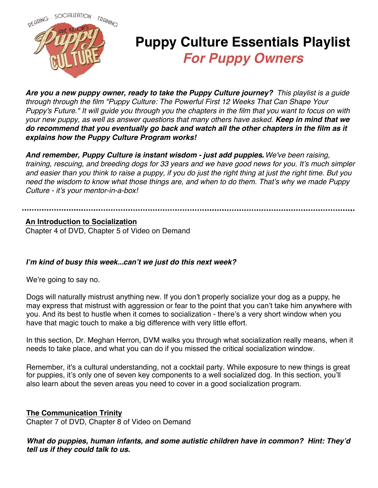

# **Puppy Culture Essentials Playlist For Puppy Owners**

**Are you a new puppy owner, ready to take the Puppy Culture journey?** This playlist is a guide through through the film "Puppy Culture: The Powerful First 12 Weeks That Can Shape Your Puppy's Future." It will guide you through you the chapters in the film that you want to focus on with your new puppy, as well as answer questions that many others have asked. **Keep in mind that we do recommend that you eventually go back and watch all the other chapters in the film as it explains how the Puppy Culture Program works!**

*And remember, Puppy Culture is instant wisdom - just add puppies. . We've been raising, training, rescuing, and breeding dogs for 33 years and we have good news for you. It's much simpler and easier than you think to raise a puppy, if you do just the right thing at just the right time. But you need the wisdom to know what those things are, and when to do them. That's why we made Puppy Culture - it's your mentor-in-a-box!*

#### **An Introduction to Socialization**

Chapter 4 of DVD, Chapter 5 of Video on Demand

### *I'm kind of busy this week... can't we just do this next week?*

We're going to say no.

Dogs will naturally mistrust anything new. If you don't properly socialize your dog as a puppy, he may express that mistrust with aggression or fear to the point that you can't take him anywhere with you. And its best to hustle when it comes to socialization - there's a very short window when you have that magic touch to make a big difference with very little effort.

In this section, Dr. Meghan Herron, DVM walks you through what socialization really means, when it needs to take place, and what you can do if you missed the critical socialization window.

Remember, it's a cultural understanding, not a cocktail party. While exposure to new things is great for puppies, it's only one of seven key components to a well socialized dog. In this section, you'll also learn about the seven areas you need to cover in a good socialization program.

### **The Communication Trinity**

Chapter 7 of DVD, Chapter 8 of Video on Demand

### *What do puppies, human infants, and some autistic children have in common? Hint: They'd tell us if they could talk to us.*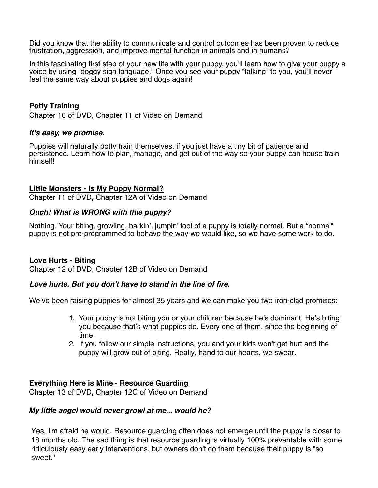Did you know that the ability to communicate and control outcomes has been proven to reduce frustration, aggression, and improve mental function in animals and in humans?

In this fascinating first step of your new life with your puppy, you'll learn how to give your puppy a voice by using "doggy sign language." Once you see your puppy "talking" to you, you'll never feel the same way about puppies and dogs again!

# **Potty Training**

Chapter 10 of DVD, Chapter 11 of Video on Demand

#### *It's easy, we promise.*

Puppies will naturally potty train themselves, if you just have a tiny bit of patience and persistence. Learn how to plan, manage, and get out of the way so your puppy can house train himself!

#### **Little Monsters - Is My Puppy Normal?**

Chapter 11 of DVD, Chapter 12A of Video on Demand

### *Ouch! What is WRONG with this puppy?*

Nothing. Your biting, growling, barkin', jumpin' fool of a puppy is totally normal. But a "normal" puppy is not pre-programmed to behave the way we would like, so we have some work to do.

### **Love Hurts - Biting**

Chapter 12 of DVD, Chapter 12B of Video on Demand

### *Love hurts. But you don't have to stand in the line of fire.*

We've been raising puppies for almost 35 years and we can make you two iron-clad promises:

- 1. Your puppy is not biting you or your children because he's dominant. He's biting you because that's what puppies do. Every one of them, since the beginning of time.
- 2. If you follow our simple instructions, you and your kids won't get hurt and the puppy will grow out of biting. Really, hand to our hearts, we swear.

### **Everything Here is Mine - Resource Guarding**

Chapter 13 of DVD, Chapter 12C of Video on Demand

#### *My little angel would never growl at me... would he?*

Yes, I'm afraid he would. Resource guarding often does not emerge until the puppy is closer to 18 months old. The sad thing is that resource guarding is virtually 100% preventable with some ridiculously easy early interventions, but owners don't do them because their puppy is "so sweet."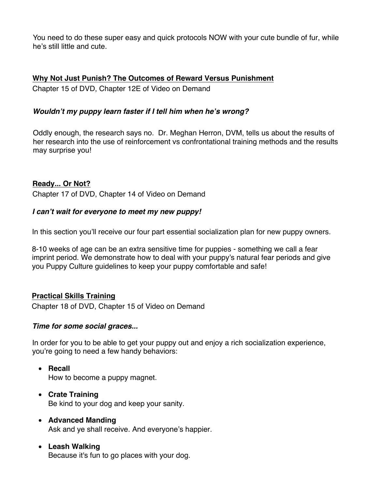You need to do these super easy and quick protocols NOW with your cute bundle of fur, while he's still little and cute.

# **Why Not Just Punish? The Outcomes of Reward Versus Punishment**

Chapter 15 of DVD, Chapter 12E of Video on Demand

# *Wouldn't my puppy learn faster if I tell him when he's wrong?*

Oddly enough, the research says no. Dr. Meghan Herron, DVM, tells us about the results of her research into the use of reinforcement vs confrontational training methods and the results may surprise you!

### **Ready... Or Not?**

Chapter 17 of DVD, Chapter 14 of Video on Demand

### *I can't wait for everyone to meet my new puppy!*

In this section you'll receive our four part essential socialization plan for new puppy owners.

8-10 weeks of age can be an extra sensitive time for puppies - something we call a fear imprint period. We demonstrate how to deal with your puppy's natural fear periods and give you Puppy Culture guidelines to keep your puppy comfortable and safe!

### **Practical Skills Training**

Chapter 18 of DVD, Chapter 15 of Video on Demand

### *Time for some social graces...*

In order for you to be able to get your puppy out and enjoy a rich socialization experience, you're going to need a few handy behaviors:

- **Recall** How to become a puppy magnet.
- **Crate Training** Be kind to your dog and keep your sanity.
- **Advanced Manding** Ask and ye shall receive. And everyone's happier.
- **Leash Walking** Because it's fun to go places with your dog.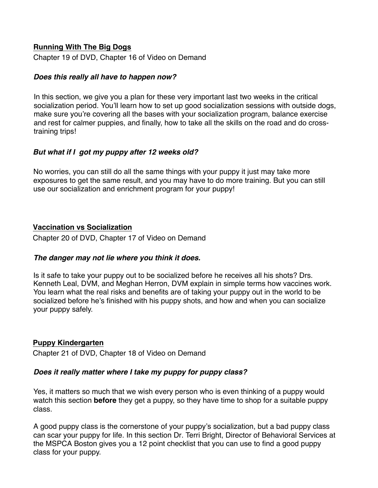# **Running With The Big Dogs**

Chapter 19 of DVD, Chapter 16 of Video on Demand

#### *Does this really all have to happen now?*

In this section, we give you a plan for these very important last two weeks in the critical socialization period. You'll learn how to set up good socialization sessions with outside dogs, make sure you're covering all the bases with your socialization program, balance exercise and rest for calmer puppies, and finally, how to take all the skills on the road and do crosstraining trips!

### *But what if I got my puppy after 12 weeks old?*

No worries, you can still do all the same things with your puppy it just may take more exposures to get the same result, and you may have to do more training. But you can still use our socialization and enrichment program for your puppy!

### **Vaccination vs Socialization**

Chapter 20 of DVD, Chapter 17 of Video on Demand

### *The danger may not lie where you think it does.*

Is it safe to take your puppy out to be socialized before he receives all his shots? Drs. Kenneth Leal, DVM, and Meghan Herron, DVM explain in simple terms how vaccines work. You learn what the real risks and benefits are of taking your puppy out in the world to be socialized before he's finished with his puppy shots, and how and when you can socialize your puppy safely.

### **Puppy Kindergarten**

Chapter 21 of DVD, Chapter 18 of Video on Demand

### *Does it really matter where I take my puppy for puppy class?*

Yes, it matters so much that we wish every person who is even thinking of a puppy would watch this section **before** they get a puppy, so they have time to shop for a suitable puppy class.

A good puppy class is the cornerstone of your puppy's socialization, but a bad puppy class can scar your puppy for life. In this section Dr. Terri Bright, Director of Behavioral Services at the MSPCA Boston gives you a 12 point checklist that you can use to find a good puppy class for your puppy.